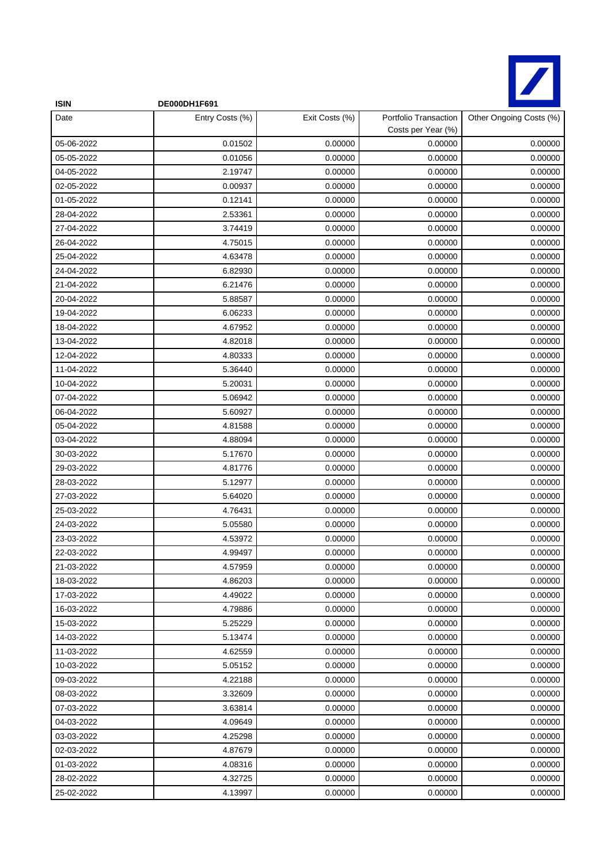

| <b>ISIN</b> | DE000DH1F691    |                |                                             |                         |
|-------------|-----------------|----------------|---------------------------------------------|-------------------------|
| Date        | Entry Costs (%) | Exit Costs (%) | Portfolio Transaction<br>Costs per Year (%) | Other Ongoing Costs (%) |
| 05-06-2022  | 0.01502         | 0.00000        | 0.00000                                     | 0.00000                 |
| 05-05-2022  | 0.01056         | 0.00000        | 0.00000                                     | 0.00000                 |
| 04-05-2022  | 2.19747         | 0.00000        | 0.00000                                     | 0.00000                 |
| 02-05-2022  | 0.00937         | 0.00000        | 0.00000                                     | 0.00000                 |
| 01-05-2022  | 0.12141         | 0.00000        | 0.00000                                     | 0.00000                 |
| 28-04-2022  | 2.53361         | 0.00000        | 0.00000                                     | 0.00000                 |
| 27-04-2022  | 3.74419         | 0.00000        | 0.00000                                     | 0.00000                 |
| 26-04-2022  | 4.75015         | 0.00000        | 0.00000                                     | 0.00000                 |
| 25-04-2022  | 4.63478         | 0.00000        | 0.00000                                     | 0.00000                 |
| 24-04-2022  | 6.82930         | 0.00000        | 0.00000                                     | 0.00000                 |
| 21-04-2022  | 6.21476         | 0.00000        | 0.00000                                     | 0.00000                 |
| 20-04-2022  | 5.88587         | 0.00000        | 0.00000                                     | 0.00000                 |
| 19-04-2022  | 6.06233         | 0.00000        | 0.00000                                     | 0.00000                 |
| 18-04-2022  | 4.67952         | 0.00000        | 0.00000                                     | 0.00000                 |
| 13-04-2022  | 4.82018         | 0.00000        | 0.00000                                     | 0.00000                 |
| 12-04-2022  | 4.80333         | 0.00000        | 0.00000                                     | 0.00000                 |
| 11-04-2022  | 5.36440         | 0.00000        | 0.00000                                     | 0.00000                 |
| 10-04-2022  | 5.20031         | 0.00000        | 0.00000                                     | 0.00000                 |
| 07-04-2022  | 5.06942         | 0.00000        | 0.00000                                     | 0.00000                 |
| 06-04-2022  | 5.60927         | 0.00000        | 0.00000                                     | 0.00000                 |
| 05-04-2022  | 4.81588         | 0.00000        | 0.00000                                     | 0.00000                 |
| 03-04-2022  | 4.88094         | 0.00000        | 0.00000                                     | 0.00000                 |
| 30-03-2022  | 5.17670         | 0.00000        | 0.00000                                     | 0.00000                 |
| 29-03-2022  | 4.81776         | 0.00000        | 0.00000                                     | 0.00000                 |
| 28-03-2022  | 5.12977         | 0.00000        | 0.00000                                     | 0.00000                 |
| 27-03-2022  | 5.64020         | 0.00000        | 0.00000                                     | 0.00000                 |
| 25-03-2022  | 4.76431         | 0.00000        | 0.00000                                     | 0.00000                 |
| 24-03-2022  | 5.05580         | 0.00000        | 0.00000                                     | 0.00000                 |
| 23-03-2022  | 4.53972         | 0.00000        | 0.00000                                     | 0.00000                 |
| 22-03-2022  | 4.99497         | 0.00000        | 0.00000                                     | 0.00000                 |
| 21-03-2022  | 4.57959         | 0.00000        | 0.00000                                     | 0.00000                 |
| 18-03-2022  | 4.86203         | 0.00000        | 0.00000                                     | 0.00000                 |
| 17-03-2022  | 4.49022         | 0.00000        | 0.00000                                     | 0.00000                 |
| 16-03-2022  | 4.79886         | 0.00000        | 0.00000                                     | 0.00000                 |
| 15-03-2022  | 5.25229         | 0.00000        | 0.00000                                     | 0.00000                 |
| 14-03-2022  | 5.13474         | 0.00000        | 0.00000                                     | 0.00000                 |
| 11-03-2022  | 4.62559         | 0.00000        | 0.00000                                     | 0.00000                 |
| 10-03-2022  | 5.05152         | 0.00000        | 0.00000                                     | 0.00000                 |
| 09-03-2022  | 4.22188         | 0.00000        | 0.00000                                     | 0.00000                 |
| 08-03-2022  | 3.32609         | 0.00000        | 0.00000                                     | 0.00000                 |
| 07-03-2022  | 3.63814         | 0.00000        | 0.00000                                     | 0.00000                 |
| 04-03-2022  | 4.09649         | 0.00000        | 0.00000                                     | 0.00000                 |
| 03-03-2022  | 4.25298         | 0.00000        | 0.00000                                     | 0.00000                 |
| 02-03-2022  | 4.87679         | 0.00000        | 0.00000                                     | 0.00000                 |
| 01-03-2022  | 4.08316         | 0.00000        | 0.00000                                     | 0.00000                 |
| 28-02-2022  | 4.32725         | 0.00000        | 0.00000                                     | 0.00000                 |
| 25-02-2022  | 4.13997         | 0.00000        | 0.00000                                     | 0.00000                 |